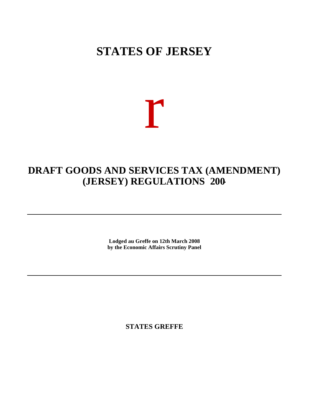# **STATES OF JERSEY**

# r

## **DRAFT GOODS AND SERVICES TAX (AMENDMENT) (JERSEY) REGULATIONS 200-**

**Lodged au Greffe on 12th March 2008 by the Economic Affairs Scrutiny Panel**

**STATES GREFFE**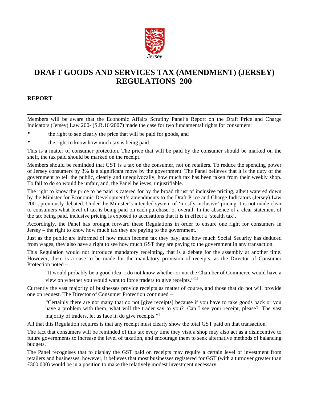

## **DRAFT GOODS AND SERVICES TAX (AMENDMENT) (JERSEY) REGULATIONS 200-**

#### **REPORT**

Members will be aware that the Economic Affairs Scrutiny Panel's Report on the Draft Price and Charge Indicators (Jersey) Law 200- (S.R.16/2007) made the case for two fundamental rights for consumers:

- the right to see clearly the price that will be paid for goods, and
- the right to know how much tax is being paid.

This is a matter of consumer protection. The price that will be paid by the consumer should be marked on the shelf, the tax paid should be marked on the receipt.

Members should be reminded that GST is a tax on the consumer, not on retailers. To reduce the spending power of Jersey consumers by 3% is a significant move by the government. The Panel believes that it is the duty of the government to tell the public, clearly and unequivocally, how much tax has been taken from their weekly shop. To fail to do so would be unfair, and, the Panel believes, unjustifiable.

The right to know the price to be paid is catered for by the broad thrust of inclusive pricing, albeit watered down by the Minister for Economic Development's amendments to the Draft Price and Charge Indicators (Jersey) Law 200-, previously debated. Under the Minister's intended system of 'mostly inclusive' pricing it is not made clear to consumers what level of tax is being paid on each purchase, or overall. In the absence of a clear statement of the tax being paid, inclusive pricing is exposed to accusations that it is in effect a 'stealth tax'.

Accordingly, the Panel has brought forward these Regulations in order to ensure one right for consumers in Jersey – the right to know how much tax they are paying to the government.

Just as the public are informed of how much income tax they pay, and how much Social Security has deduced from wages, they also have a right to see how much GST they are paying to the government in any transaction.

This Regulation would not introduce mandatory receipting, that is a debate for the assembly at another time. However, there is a case to be made for the mandatory provision of receipts, as the Director of Consumer Protection noted –

"It would probably be a good idea. I do not know whether or not the Chamber of Commerce would have a view on whether you would want to force traders to give receipts."[1]

Currently the vast majority of businesses provide receipts as matter of course, and those that do not will provide one on request. The Director of Consumer Protection continued –

"Certainly there are not many that do not [give receipts] because if you have to take goods back or you have a problem with them, what will the trader say to you? Can I see your receipt, please? The vast majority of traders, let us face it, do give receipts." 1

All that this Regulation requires is that any receipt must clearly show the total GST paid on that transaction.

The fact that consumers will be reminded of this tax every time they visit a shop may also act as a disincentive to future governments to increase the level of taxation, and encourage them to seek alternative methods of balancing budgets.

The Panel recognises that to display the GST paid on receipts may require a certain level of investment from retailers and businesses, however, it believes that most businesses registered for GST (with a turnover greater than £300,000) would be in a position to make the relatively modest investment necessary.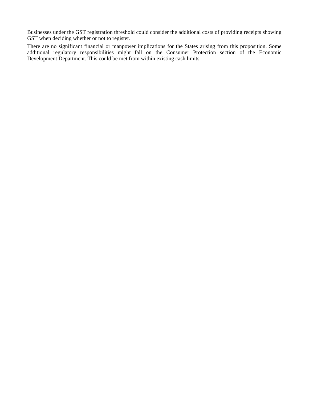Businesses under the GST registration threshold could consider the additional costs of providing receipts showing GST when deciding whether or not to register.

There are no significant financial or manpower implications for the States arising from this proposition. Some additional regulatory responsibilities might fall on the Consumer Protection section of the Economic Development Department. This could be met from within existing cash limits.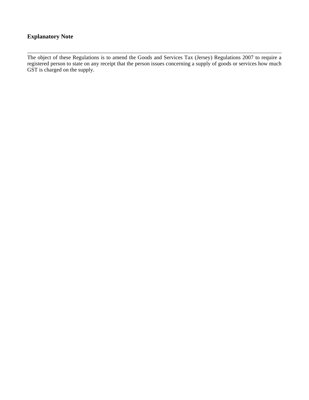#### **Explanatory Note**

The object of these Regulations is to amend the Goods and Services Tax (Jersey) Regulations 2007 to require a registered person to state on any receipt that the person issues concerning a supply of goods or services how much GST is charged on the supply.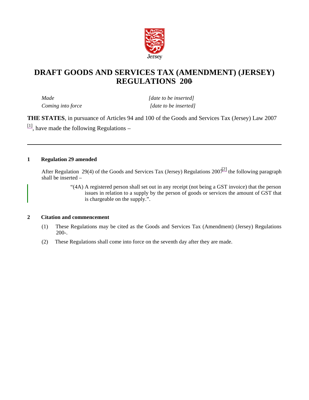

### **DRAFT GOODS AND SERVICES TAX (AMENDMENT) (JERSEY) REGULATIONS 200-**

*Made* [date to be inserted] *Coming into force* [date to be inserted]

**THE STATES**, in pursuance of Articles 94 and 100 of the Goods and Services Tax (Jersey) Law 2007  $\left[ \frac{11}{11} \right]$ , have made the following Regulations –

#### **1 Regulation 29 amended**

After Regulation 29(4) of the Goods and Services Tax (Jersey) Regulations  $200\frac{12}{1}$  the following paragraph shall be inserted –

> "(4A) A registered person shall set out in any receipt (not being a GST invoice) that the person issues in relation to a supply by the person of goods or services the amount of GST that is chargeable on the supply.".

#### **2 Citation and commencement**

- (1) These Regulations may be cited as the Goods and Services Tax (Amendment) (Jersey) Regulations 200-.
- (2) These Regulations shall come into force on the seventh day after they are made.